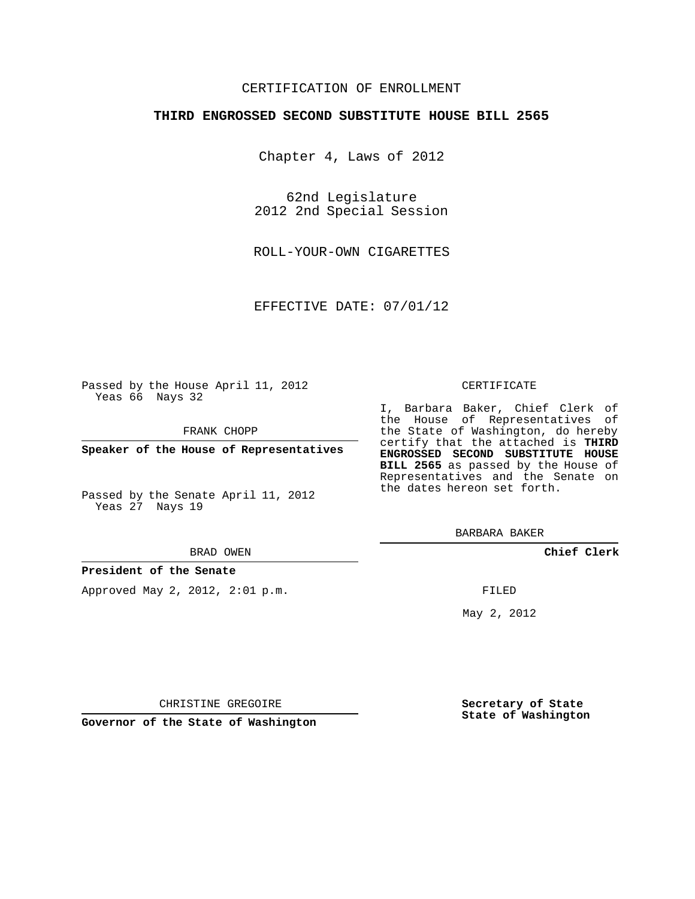### CERTIFICATION OF ENROLLMENT

### **THIRD ENGROSSED SECOND SUBSTITUTE HOUSE BILL 2565**

Chapter 4, Laws of 2012

62nd Legislature 2012 2nd Special Session

ROLL-YOUR-OWN CIGARETTES

EFFECTIVE DATE: 07/01/12

Passed by the House April 11, 2012 Yeas 66 Nays 32

FRANK CHOPP

**Speaker of the House of Representatives**

Passed by the Senate April 11, 2012 Yeas 27 Nays 19

#### BRAD OWEN

#### **President of the Senate**

Approved May 2, 2012, 2:01 p.m.

#### CERTIFICATE

I, Barbara Baker, Chief Clerk of the House of Representatives of the State of Washington, do hereby certify that the attached is **THIRD ENGROSSED SECOND SUBSTITUTE HOUSE BILL 2565** as passed by the House of Representatives and the Senate on the dates hereon set forth.

BARBARA BAKER

**Chief Clerk**

FILED

May 2, 2012

**Secretary of State State of Washington**

CHRISTINE GREGOIRE

**Governor of the State of Washington**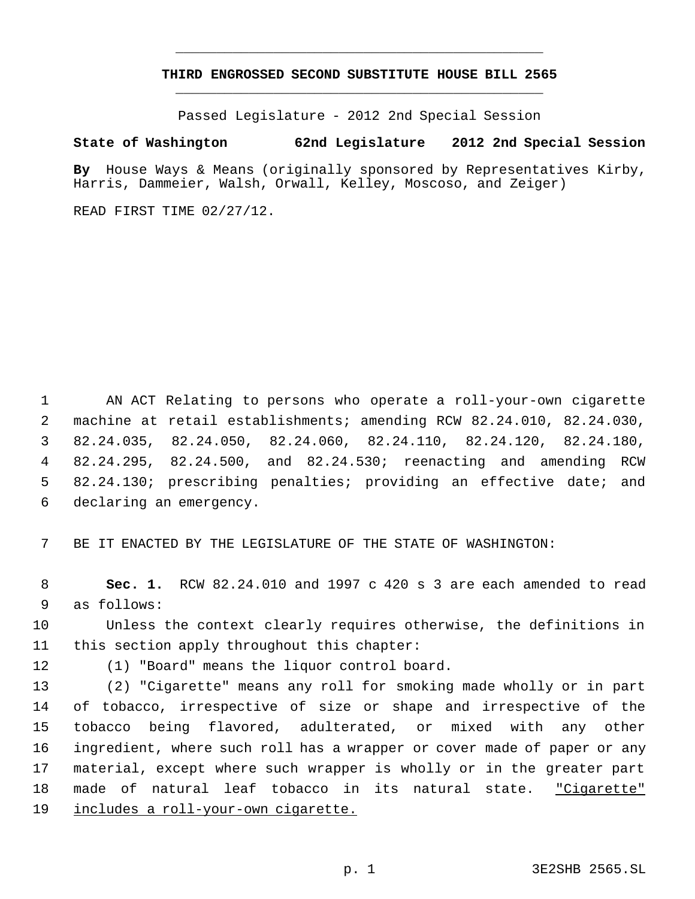# **THIRD ENGROSSED SECOND SUBSTITUTE HOUSE BILL 2565** \_\_\_\_\_\_\_\_\_\_\_\_\_\_\_\_\_\_\_\_\_\_\_\_\_\_\_\_\_\_\_\_\_\_\_\_\_\_\_\_\_\_\_\_\_

\_\_\_\_\_\_\_\_\_\_\_\_\_\_\_\_\_\_\_\_\_\_\_\_\_\_\_\_\_\_\_\_\_\_\_\_\_\_\_\_\_\_\_\_\_

Passed Legislature - 2012 2nd Special Session

## **State of Washington 62nd Legislature 2012 2nd Special Session**

**By** House Ways & Means (originally sponsored by Representatives Kirby, Harris, Dammeier, Walsh, Orwall, Kelley, Moscoso, and Zeiger)

READ FIRST TIME 02/27/12.

 AN ACT Relating to persons who operate a roll-your-own cigarette machine at retail establishments; amending RCW 82.24.010, 82.24.030, 82.24.035, 82.24.050, 82.24.060, 82.24.110, 82.24.120, 82.24.180, 82.24.295, 82.24.500, and 82.24.530; reenacting and amending RCW 82.24.130; prescribing penalties; providing an effective date; and declaring an emergency.

BE IT ENACTED BY THE LEGISLATURE OF THE STATE OF WASHINGTON:

 **Sec. 1.** RCW 82.24.010 and 1997 c 420 s 3 are each amended to read as follows:

 Unless the context clearly requires otherwise, the definitions in this section apply throughout this chapter:

(1) "Board" means the liquor control board.

 (2) "Cigarette" means any roll for smoking made wholly or in part of tobacco, irrespective of size or shape and irrespective of the tobacco being flavored, adulterated, or mixed with any other ingredient, where such roll has a wrapper or cover made of paper or any material, except where such wrapper is wholly or in the greater part made of natural leaf tobacco in its natural state. "Cigarette" includes a roll-your-own cigarette.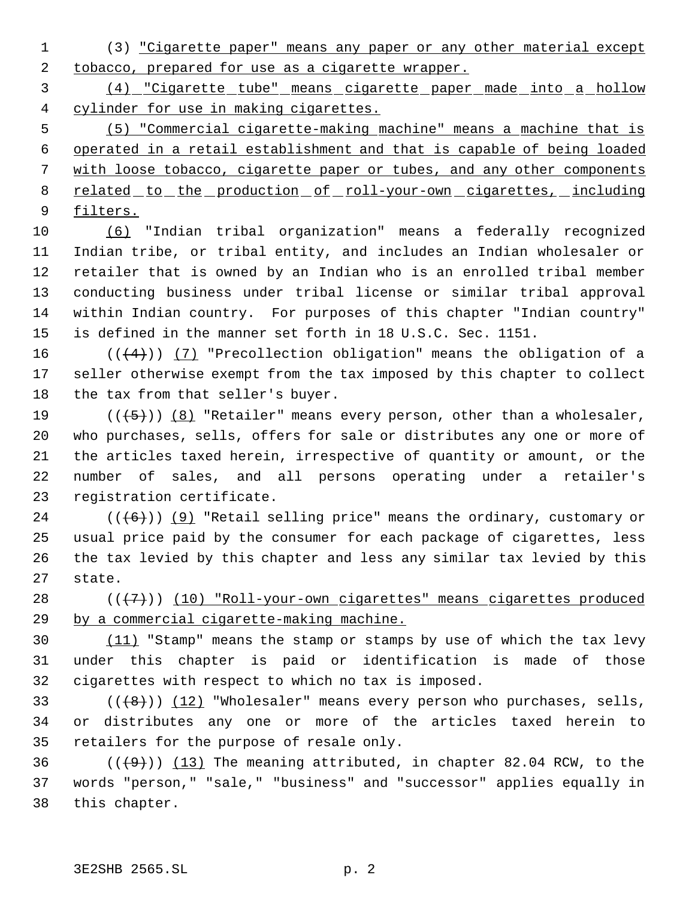(3) "Cigarette paper" means any paper or any other material except 2 tobacco, prepared for use as a cigarette wrapper.

 (4) "Cigarette tube" means cigarette paper made into a hollow cylinder for use in making cigarettes.

 (5) "Commercial cigarette-making machine" means a machine that is operated in a retail establishment and that is capable of being loaded with loose tobacco, cigarette paper or tubes, and any other components 8 related to the production of roll-your-own cigarettes, including filters.

 (6) "Indian tribal organization" means a federally recognized Indian tribe, or tribal entity, and includes an Indian wholesaler or retailer that is owned by an Indian who is an enrolled tribal member conducting business under tribal license or similar tribal approval within Indian country. For purposes of this chapter "Indian country" is defined in the manner set forth in 18 U.S.C. Sec. 1151.

16  $((+4))$  (7) "Precollection obligation" means the obligation of a seller otherwise exempt from the tax imposed by this chapter to collect the tax from that seller's buyer.

 $((+5))$   $(8)$  "Retailer" means every person, other than a wholesaler, who purchases, sells, offers for sale or distributes any one or more of the articles taxed herein, irrespective of quantity or amount, or the number of sales, and all persons operating under a retailer's registration certificate.

 $((+6))$  (9) "Retail selling price" means the ordinary, customary or usual price paid by the consumer for each package of cigarettes, less the tax levied by this chapter and less any similar tax levied by this state.

28  $((+7))$  (10) "Roll-your-own cigarettes" means cigarettes produced by a commercial cigarette-making machine.

30 (11) "Stamp" means the stamp or stamps by use of which the tax levy under this chapter is paid or identification is made of those cigarettes with respect to which no tax is imposed.

33  $((+8))$   $(12)$  "Wholesaler" means every person who purchases, sells, or distributes any one or more of the articles taxed herein to retailers for the purpose of resale only.

36  $((+9))$  (13) The meaning attributed, in chapter 82.04 RCW, to the words "person," "sale," "business" and "successor" applies equally in this chapter.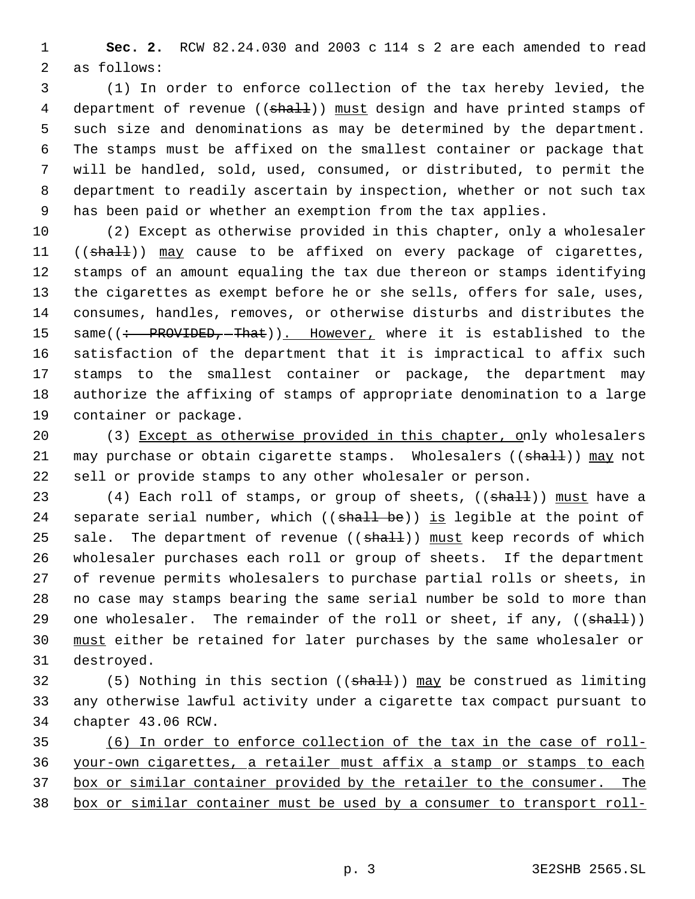**Sec. 2.** RCW 82.24.030 and 2003 c 114 s 2 are each amended to read as follows:

 (1) In order to enforce collection of the tax hereby levied, the 4 department of revenue ((shall)) must design and have printed stamps of such size and denominations as may be determined by the department. The stamps must be affixed on the smallest container or package that will be handled, sold, used, consumed, or distributed, to permit the department to readily ascertain by inspection, whether or not such tax has been paid or whether an exemption from the tax applies.

 (2) Except as otherwise provided in this chapter, only a wholesaler 11 ((shall)) may cause to be affixed on every package of cigarettes, stamps of an amount equaling the tax due thereon or stamps identifying the cigarettes as exempt before he or she sells, offers for sale, uses, consumes, handles, removes, or otherwise disturbs and distributes the 15 same((: PROVIDED, That)). However, where it is established to the satisfaction of the department that it is impractical to affix such stamps to the smallest container or package, the department may authorize the affixing of stamps of appropriate denomination to a large container or package.

20 (3) Except as otherwise provided in this chapter, only wholesalers 21 may purchase or obtain cigarette stamps. Wholesalers ((shall)) may not sell or provide stamps to any other wholesaler or person.

23 (4) Each roll of stamps, or group of sheets, ((shall)) must have a 24 separate serial number, which ((shall be)) is legible at the point of 25 sale. The department of revenue ((shall)) must keep records of which wholesaler purchases each roll or group of sheets. If the department of revenue permits wholesalers to purchase partial rolls or sheets, in no case may stamps bearing the same serial number be sold to more than 29 one wholesaler. The remainder of the roll or sheet, if any, ((shall)) 30 must either be retained for later purchases by the same wholesaler or destroyed.

32 (5) Nothing in this section ((shall)) may be construed as limiting any otherwise lawful activity under a cigarette tax compact pursuant to chapter 43.06 RCW.

 (6) In order to enforce collection of the tax in the case of roll- your-own cigarettes, a retailer must affix a stamp or stamps to each box or similar container provided by the retailer to the consumer. The box or similar container must be used by a consumer to transport roll-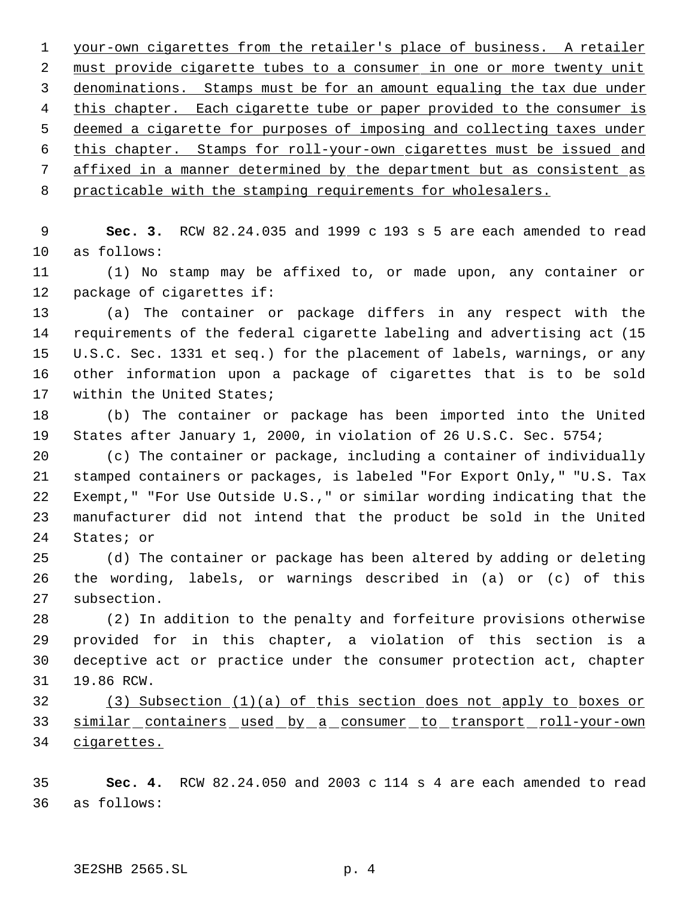your-own cigarettes from the retailer's place of business. A retailer 2 must provide cigarette tubes to a consumer in one or more twenty unit denominations. Stamps must be for an amount equaling the tax due under this chapter. Each cigarette tube or paper provided to the consumer is deemed a cigarette for purposes of imposing and collecting taxes under this chapter. Stamps for roll-your-own cigarettes must be issued and affixed in a manner determined by the department but as consistent as practicable with the stamping requirements for wholesalers.

 **Sec. 3.** RCW 82.24.035 and 1999 c 193 s 5 are each amended to read as follows:

 (1) No stamp may be affixed to, or made upon, any container or package of cigarettes if:

 (a) The container or package differs in any respect with the requirements of the federal cigarette labeling and advertising act (15 U.S.C. Sec. 1331 et seq.) for the placement of labels, warnings, or any other information upon a package of cigarettes that is to be sold within the United States;

 (b) The container or package has been imported into the United States after January 1, 2000, in violation of 26 U.S.C. Sec. 5754;

 (c) The container or package, including a container of individually stamped containers or packages, is labeled "For Export Only," "U.S. Tax Exempt," "For Use Outside U.S.," or similar wording indicating that the manufacturer did not intend that the product be sold in the United States; or

 (d) The container or package has been altered by adding or deleting the wording, labels, or warnings described in (a) or (c) of this subsection.

 (2) In addition to the penalty and forfeiture provisions otherwise provided for in this chapter, a violation of this section is a deceptive act or practice under the consumer protection act, chapter 19.86 RCW.

 (3) Subsection (1)(a) of this section does not apply to boxes or 33 similar containers used by a consumer to transport roll-your-own cigarettes.

 **Sec. 4.** RCW 82.24.050 and 2003 c 114 s 4 are each amended to read as follows: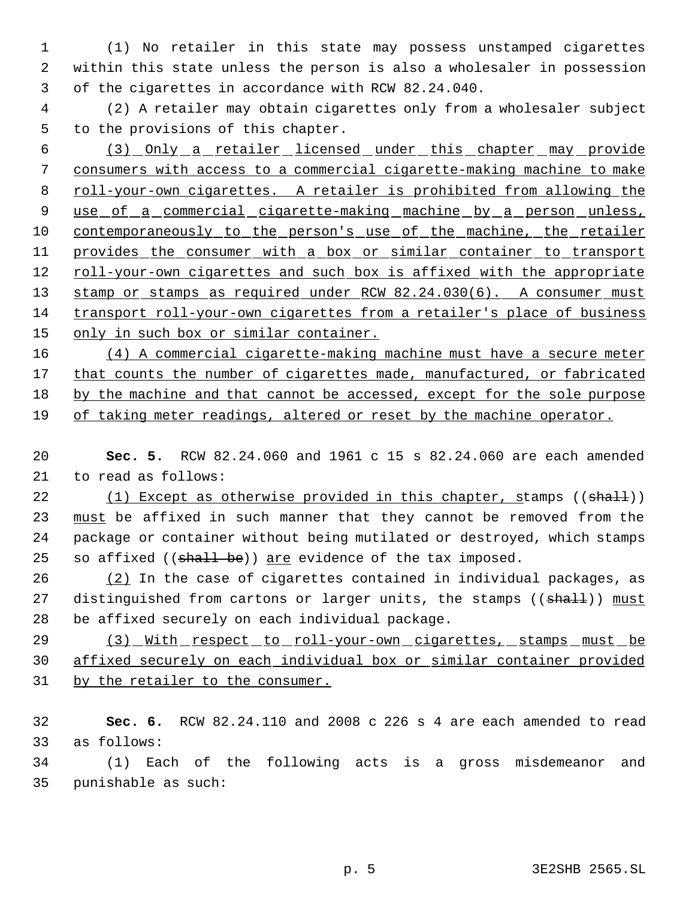(1) No retailer in this state may possess unstamped cigarettes within this state unless the person is also a wholesaler in possession of the cigarettes in accordance with RCW 82.24.040.

 (2) A retailer may obtain cigarettes only from a wholesaler subject to the provisions of this chapter.

 (3) Only a retailer licensed under this chapter may provide consumers with access to a commercial cigarette-making machine to make 8 roll-your-own cigarettes. A retailer is prohibited from allowing the 9 use of a commercial cigarette-making machine by a person unless, 10 contemporaneously to the person's use of the machine, the retailer 11 provides the consumer with a box or similar container to transport 12 roll-your-own cigarettes and such box is affixed with the appropriate 13 stamp or stamps as required under RCW 82.24.030(6). A consumer must transport roll-your-own cigarettes from a retailer's place of business 15 only in such box or similar container.

 (4) A commercial cigarette-making machine must have a secure meter 17 that counts the number of cigarettes made, manufactured, or fabricated by the machine and that cannot be accessed, except for the sole purpose of taking meter readings, altered or reset by the machine operator.

 **Sec. 5.** RCW 82.24.060 and 1961 c 15 s 82.24.060 are each amended to read as follows:

22 (1) Except as otherwise provided in this chapter, stamps  $((shalt))$ 23 must be affixed in such manner that they cannot be removed from the package or container without being mutilated or destroyed, which stamps 25 so affixed  $((shall be))$  are evidence of the tax imposed.

 (2) In the case of cigarettes contained in individual packages, as 27 distinguished from cartons or larger units, the stamps ((shall)) must be affixed securely on each individual package.

29 (3) With respect to roll-your-own cigarettes, stamps must be affixed securely on each individual box or similar container provided by the retailer to the consumer.

 **Sec. 6.** RCW 82.24.110 and 2008 c 226 s 4 are each amended to read as follows:

 (1) Each of the following acts is a gross misdemeanor and punishable as such: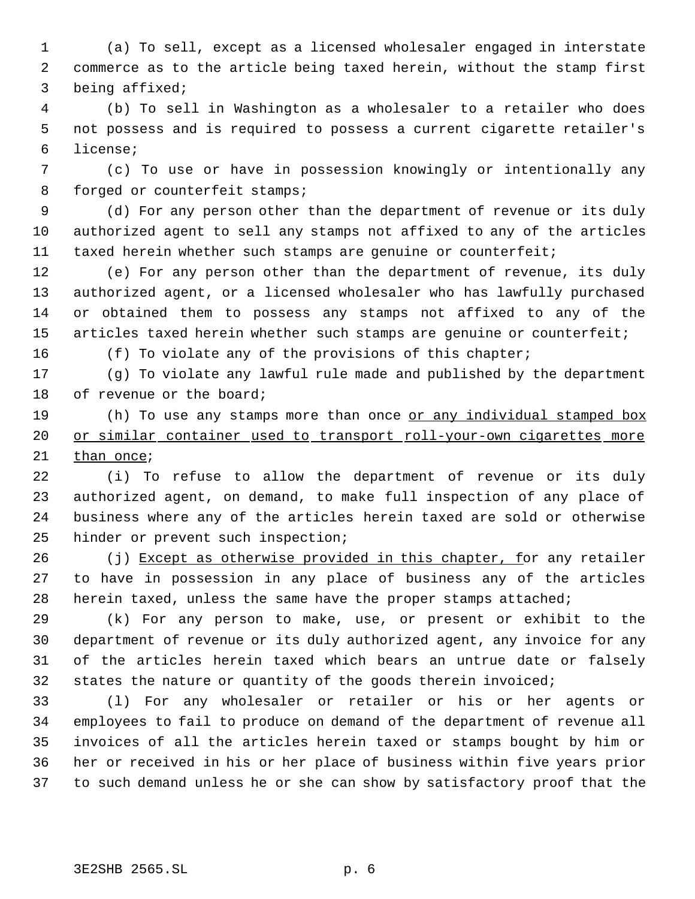(a) To sell, except as a licensed wholesaler engaged in interstate commerce as to the article being taxed herein, without the stamp first being affixed;

 (b) To sell in Washington as a wholesaler to a retailer who does not possess and is required to possess a current cigarette retailer's license;

 (c) To use or have in possession knowingly or intentionally any 8 forged or counterfeit stamps;

 (d) For any person other than the department of revenue or its duly authorized agent to sell any stamps not affixed to any of the articles taxed herein whether such stamps are genuine or counterfeit;

 (e) For any person other than the department of revenue, its duly authorized agent, or a licensed wholesaler who has lawfully purchased or obtained them to possess any stamps not affixed to any of the 15 articles taxed herein whether such stamps are genuine or counterfeit;

16 (f) To violate any of the provisions of this chapter;

 (g) To violate any lawful rule made and published by the department 18 of revenue or the board;

19 (h) To use any stamps more than once or any individual stamped box 20 or similar container used to transport roll-your-own cigarettes more than once;

 (i) To refuse to allow the department of revenue or its duly authorized agent, on demand, to make full inspection of any place of business where any of the articles herein taxed are sold or otherwise hinder or prevent such inspection;

26 (j) Except as otherwise provided in this chapter, for any retailer to have in possession in any place of business any of the articles herein taxed, unless the same have the proper stamps attached;

 (k) For any person to make, use, or present or exhibit to the department of revenue or its duly authorized agent, any invoice for any of the articles herein taxed which bears an untrue date or falsely states the nature or quantity of the goods therein invoiced;

 (l) For any wholesaler or retailer or his or her agents or employees to fail to produce on demand of the department of revenue all invoices of all the articles herein taxed or stamps bought by him or her or received in his or her place of business within five years prior to such demand unless he or she can show by satisfactory proof that the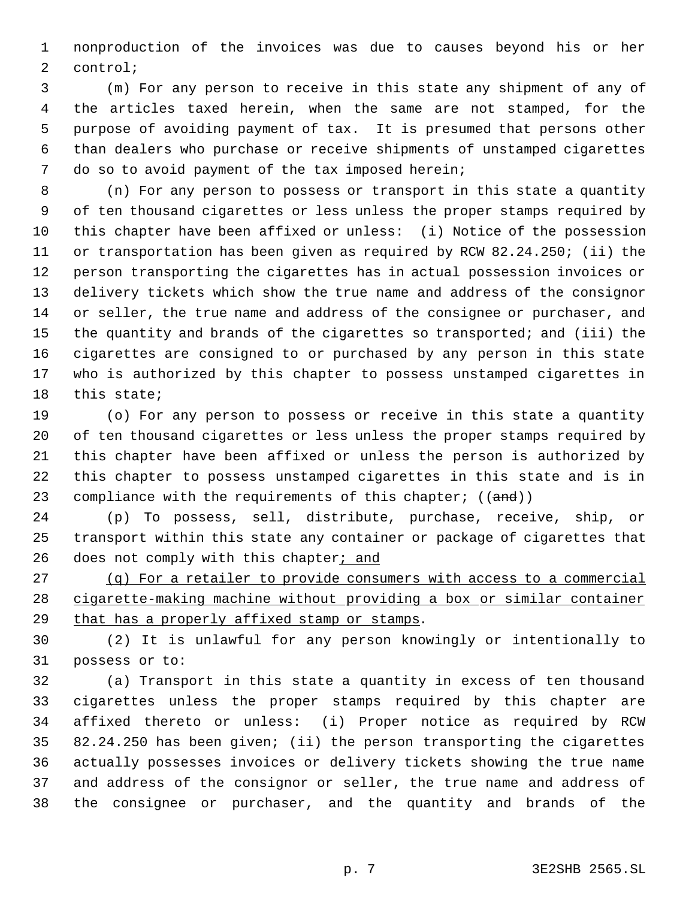nonproduction of the invoices was due to causes beyond his or her control;

 (m) For any person to receive in this state any shipment of any of the articles taxed herein, when the same are not stamped, for the purpose of avoiding payment of tax. It is presumed that persons other than dealers who purchase or receive shipments of unstamped cigarettes do so to avoid payment of the tax imposed herein;

 (n) For any person to possess or transport in this state a quantity of ten thousand cigarettes or less unless the proper stamps required by this chapter have been affixed or unless: (i) Notice of the possession or transportation has been given as required by RCW 82.24.250; (ii) the person transporting the cigarettes has in actual possession invoices or delivery tickets which show the true name and address of the consignor 14 or seller, the true name and address of the consignee or purchaser, and the quantity and brands of the cigarettes so transported; and (iii) the cigarettes are consigned to or purchased by any person in this state who is authorized by this chapter to possess unstamped cigarettes in this state;

 (o) For any person to possess or receive in this state a quantity of ten thousand cigarettes or less unless the proper stamps required by this chapter have been affixed or unless the person is authorized by this chapter to possess unstamped cigarettes in this state and is in 23 compliance with the requirements of this chapter;  $((and))$ 

 (p) To possess, sell, distribute, purchase, receive, ship, or transport within this state any container or package of cigarettes that 26 does not comply with this chapter; and

 (q) For a retailer to provide consumers with access to a commercial cigarette-making machine without providing a box or similar container that has a properly affixed stamp or stamps.

 (2) It is unlawful for any person knowingly or intentionally to possess or to:

 (a) Transport in this state a quantity in excess of ten thousand cigarettes unless the proper stamps required by this chapter are affixed thereto or unless: (i) Proper notice as required by RCW 82.24.250 has been given; (ii) the person transporting the cigarettes actually possesses invoices or delivery tickets showing the true name and address of the consignor or seller, the true name and address of the consignee or purchaser, and the quantity and brands of the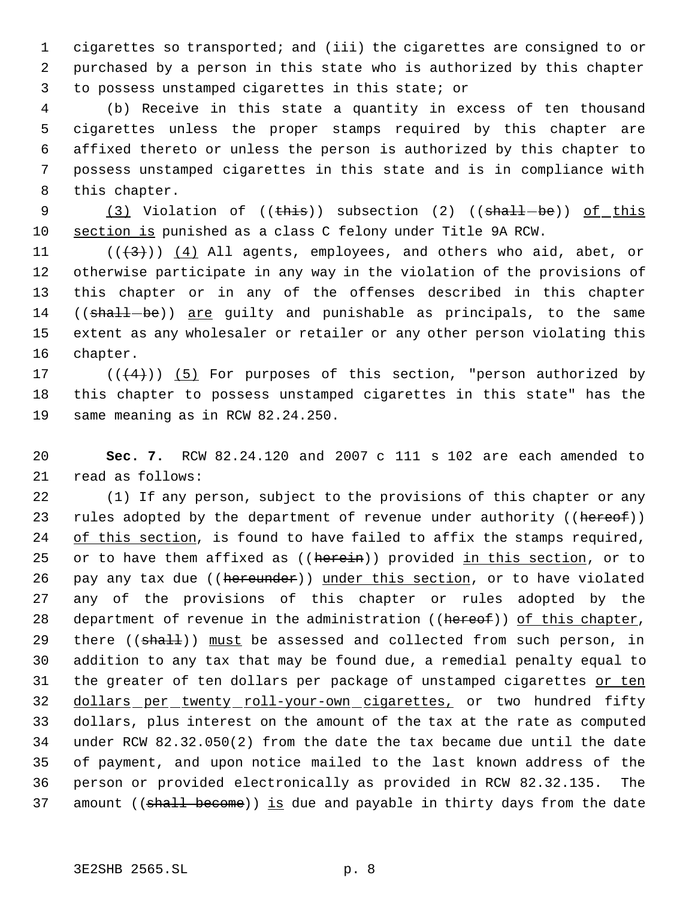cigarettes so transported; and (iii) the cigarettes are consigned to or purchased by a person in this state who is authorized by this chapter to possess unstamped cigarettes in this state; or

 (b) Receive in this state a quantity in excess of ten thousand cigarettes unless the proper stamps required by this chapter are affixed thereto or unless the person is authorized by this chapter to possess unstamped cigarettes in this state and is in compliance with this chapter.

9 (3) Violation of ((this)) subsection (2) ((shall-be)) of this section is punished as a class C felony under Title 9A RCW.

 $((+3))$   $(4)$  All agents, employees, and others who aid, abet, or otherwise participate in any way in the violation of the provisions of this chapter or in any of the offenses described in this chapter 14 ((shall-be)) are quilty and punishable as principals, to the same extent as any wholesaler or retailer or any other person violating this chapter.

17  $((+4))$   $(5)$  For purposes of this section, "person authorized by this chapter to possess unstamped cigarettes in this state" has the same meaning as in RCW 82.24.250.

 **Sec. 7.** RCW 82.24.120 and 2007 c 111 s 102 are each amended to read as follows:

 (1) If any person, subject to the provisions of this chapter or any 23 rules adopted by the department of revenue under authority ((hereof)) of this section, is found to have failed to affix the stamps required, 25 or to have them affixed as ((herein)) provided in this section, or to 26 pay any tax due ((hereunder)) under this section, or to have violated any of the provisions of this chapter or rules adopted by the 28 department of revenue in the administration ((hereof)) of this chapter, 29 there ((shall)) must be assessed and collected from such person, in addition to any tax that may be found due, a remedial penalty equal to 31 the greater of ten dollars per package of unstamped cigarettes or ten 32 dollars per twenty roll-your-own cigarettes, or two hundred fifty dollars, plus interest on the amount of the tax at the rate as computed under RCW 82.32.050(2) from the date the tax became due until the date of payment, and upon notice mailed to the last known address of the person or provided electronically as provided in RCW 82.32.135. The 37 amount ((shall become)) is due and payable in thirty days from the date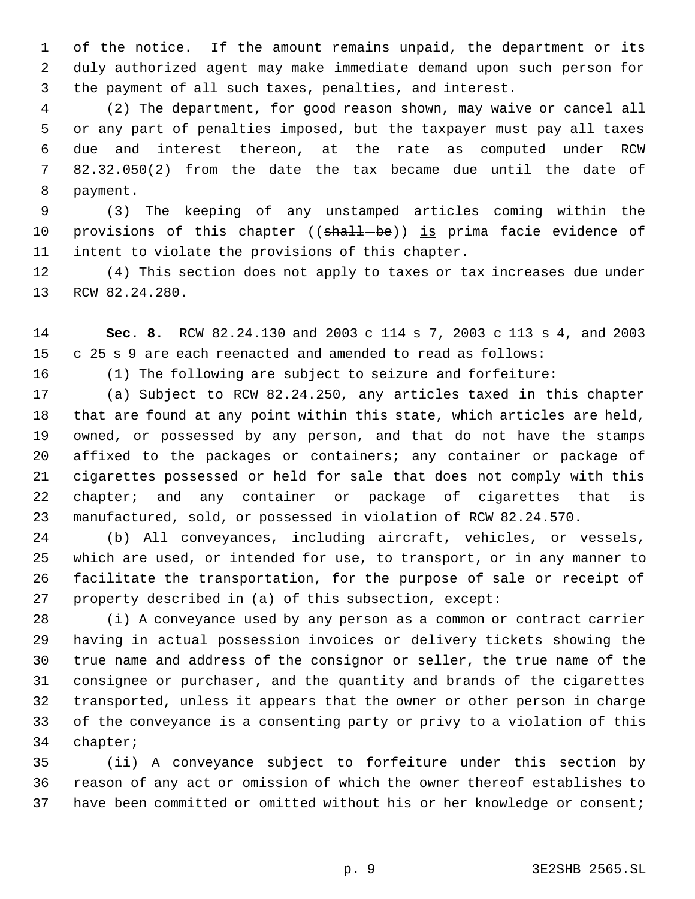of the notice. If the amount remains unpaid, the department or its duly authorized agent may make immediate demand upon such person for the payment of all such taxes, penalties, and interest.

 (2) The department, for good reason shown, may waive or cancel all or any part of penalties imposed, but the taxpayer must pay all taxes due and interest thereon, at the rate as computed under RCW 82.32.050(2) from the date the tax became due until the date of payment.

 (3) The keeping of any unstamped articles coming within the 10 provisions of this chapter ((shall-be)) is prima facie evidence of intent to violate the provisions of this chapter.

 (4) This section does not apply to taxes or tax increases due under RCW 82.24.280.

 **Sec. 8.** RCW 82.24.130 and 2003 c 114 s 7, 2003 c 113 s 4, and 2003 c 25 s 9 are each reenacted and amended to read as follows:

(1) The following are subject to seizure and forfeiture:

 (a) Subject to RCW 82.24.250, any articles taxed in this chapter that are found at any point within this state, which articles are held, owned, or possessed by any person, and that do not have the stamps affixed to the packages or containers; any container or package of cigarettes possessed or held for sale that does not comply with this 22 chapter; and any container or package of cigarettes that is manufactured, sold, or possessed in violation of RCW 82.24.570.

 (b) All conveyances, including aircraft, vehicles, or vessels, which are used, or intended for use, to transport, or in any manner to facilitate the transportation, for the purpose of sale or receipt of property described in (a) of this subsection, except:

 (i) A conveyance used by any person as a common or contract carrier having in actual possession invoices or delivery tickets showing the true name and address of the consignor or seller, the true name of the consignee or purchaser, and the quantity and brands of the cigarettes transported, unless it appears that the owner or other person in charge of the conveyance is a consenting party or privy to a violation of this chapter;

 (ii) A conveyance subject to forfeiture under this section by reason of any act or omission of which the owner thereof establishes to have been committed or omitted without his or her knowledge or consent;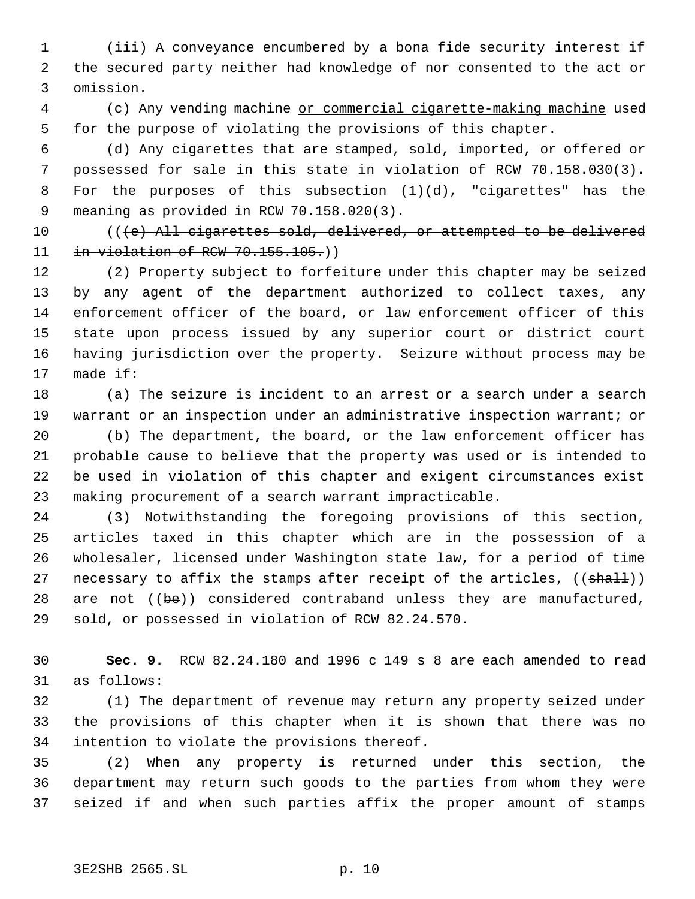(iii) A conveyance encumbered by a bona fide security interest if the secured party neither had knowledge of nor consented to the act or omission.

 (c) Any vending machine or commercial cigarette-making machine used for the purpose of violating the provisions of this chapter.

 (d) Any cigarettes that are stamped, sold, imported, or offered or possessed for sale in this state in violation of RCW 70.158.030(3). For the purposes of this subsection (1)(d), "cigarettes" has the meaning as provided in RCW 70.158.020(3).

10 (((e) All cigarettes sold, delivered, or attempted to be delivered 11 in violation of RCW 70.155.105.)

 (2) Property subject to forfeiture under this chapter may be seized by any agent of the department authorized to collect taxes, any enforcement officer of the board, or law enforcement officer of this state upon process issued by any superior court or district court having jurisdiction over the property. Seizure without process may be made if:

 (a) The seizure is incident to an arrest or a search under a search warrant or an inspection under an administrative inspection warrant; or (b) The department, the board, or the law enforcement officer has probable cause to believe that the property was used or is intended to be used in violation of this chapter and exigent circumstances exist

making procurement of a search warrant impracticable.

 (3) Notwithstanding the foregoing provisions of this section, articles taxed in this chapter which are in the possession of a wholesaler, licensed under Washington state law, for a period of time 27 necessary to affix the stamps after receipt of the articles, ((shall)) 28 are not ((be)) considered contraband unless they are manufactured, sold, or possessed in violation of RCW 82.24.570.

 **Sec. 9.** RCW 82.24.180 and 1996 c 149 s 8 are each amended to read as follows:

 (1) The department of revenue may return any property seized under the provisions of this chapter when it is shown that there was no intention to violate the provisions thereof.

 (2) When any property is returned under this section, the department may return such goods to the parties from whom they were seized if and when such parties affix the proper amount of stamps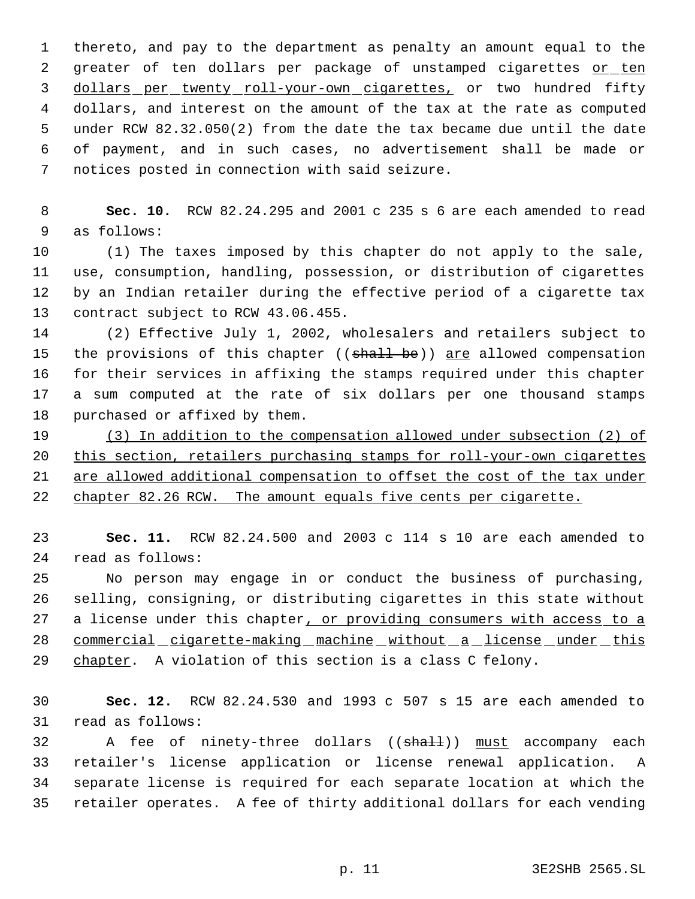thereto, and pay to the department as penalty an amount equal to the 2 greater of ten dollars per package of unstamped cigarettes or ten 3 dollars per twenty roll-your-own cigarettes, or two hundred fifty dollars, and interest on the amount of the tax at the rate as computed under RCW 82.32.050(2) from the date the tax became due until the date of payment, and in such cases, no advertisement shall be made or notices posted in connection with said seizure.

 **Sec. 10.** RCW 82.24.295 and 2001 c 235 s 6 are each amended to read as follows:

 (1) The taxes imposed by this chapter do not apply to the sale, use, consumption, handling, possession, or distribution of cigarettes by an Indian retailer during the effective period of a cigarette tax contract subject to RCW 43.06.455.

 (2) Effective July 1, 2002, wholesalers and retailers subject to 15 the provisions of this chapter ((shall be)) are allowed compensation for their services in affixing the stamps required under this chapter a sum computed at the rate of six dollars per one thousand stamps purchased or affixed by them.

 (3) In addition to the compensation allowed under subsection (2) of this section, retailers purchasing stamps for roll-your-own cigarettes 21 are allowed additional compensation to offset the cost of the tax under 22 chapter 82.26 RCW. The amount equals five cents per cigarette.

 **Sec. 11.** RCW 82.24.500 and 2003 c 114 s 10 are each amended to read as follows:

 No person may engage in or conduct the business of purchasing, selling, consigning, or distributing cigarettes in this state without 27 a license under this chapter, or providing consumers with access to a 28 commercial cigarette-making machine without a license under this 29 chapter. A violation of this section is a class C felony.

 **Sec. 12.** RCW 82.24.530 and 1993 c 507 s 15 are each amended to read as follows:

32 A fee of ninety-three dollars ((shall)) must accompany each retailer's license application or license renewal application. A separate license is required for each separate location at which the retailer operates. A fee of thirty additional dollars for each vending